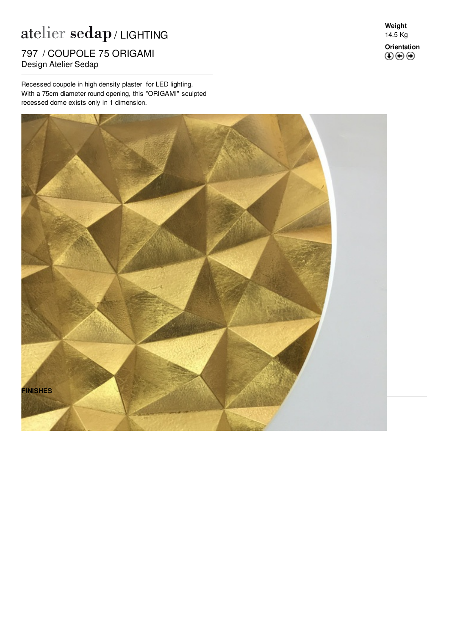## $\mathop{\rm at}\nolimits$ elier  $\mathop{\rm sedap}\nolimits$  / LIGHTING

nom y SSST SEE 7 797 / COUPOLE 75 ORIGAMI

Recessed coupole in high density plaster for LED lighting. With a 75cm diameter round opening, this "ORIGAMI" sculpted recessed dome exists only in 1 dimension.

**Weight** 14.5 Kg **Orientation**<br>**<b>① ④ ④**